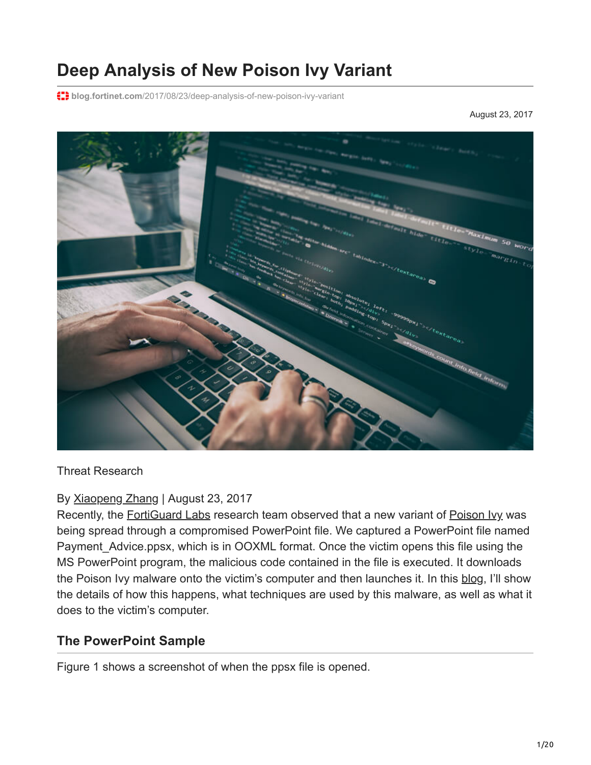# **Deep Analysis of New Poison Ivy Variant**

**blog.fortinet.com**[/2017/08/23/deep-analysis-of-new-poison-ivy-variant](http://blog.fortinet.com/2017/08/23/deep-analysis-of-new-poison-ivy-variant)

August 23, 2017



Threat Research

By [Xiaopeng Zhang](http://blog.fortinet.com/blog/search?author=Xiaopeng+Zhang) | August 23, 2017

Recently, the **FortiGuard Labs** research team observed that a new variant of [Poison Ivy](https://www.fortiguard.com/encyclopedia/virus/7470641) was being spread through a compromised PowerPoint file. We captured a PowerPoint file named Payment Advice.ppsx, which is in OOXML format. Once the victim opens this file using the MS PowerPoint program, the malicious code contained in the file is executed. It downloads the Poison Ivy malware onto the victim's computer and then launches it. In this [blog](https://www.fortinet.com/fortiguard/threat-intelligence/threat-research.html), I'll show the details of how this happens, what techniques are used by this malware, as well as what it does to the victim's computer.

#### **The PowerPoint Sample**

Figure 1 shows a screenshot of when the ppsx file is opened.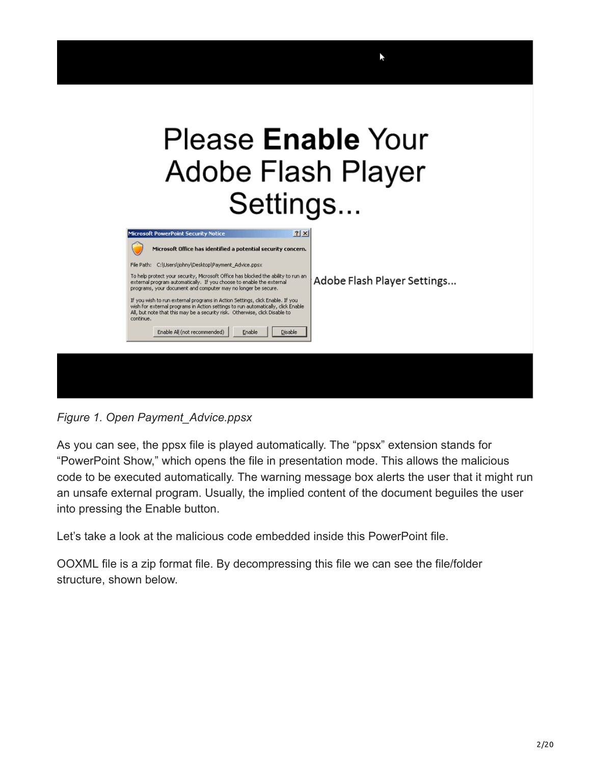# Please **Enable** Your Adobe Flash Player Settings...

ř,



*Figure 1. Open Payment\_Advice.ppsx*

As you can see, the ppsx file is played automatically. The "ppsx" extension stands for "PowerPoint Show," which opens the file in presentation mode. This allows the malicious code to be executed automatically. The warning message box alerts the user that it might run an unsafe external program. Usually, the implied content of the document beguiles the user into pressing the Enable button.

Let's take a look at the malicious code embedded inside this PowerPoint file.

OOXML file is a zip format file. By decompressing this file we can see the file/folder structure, shown below.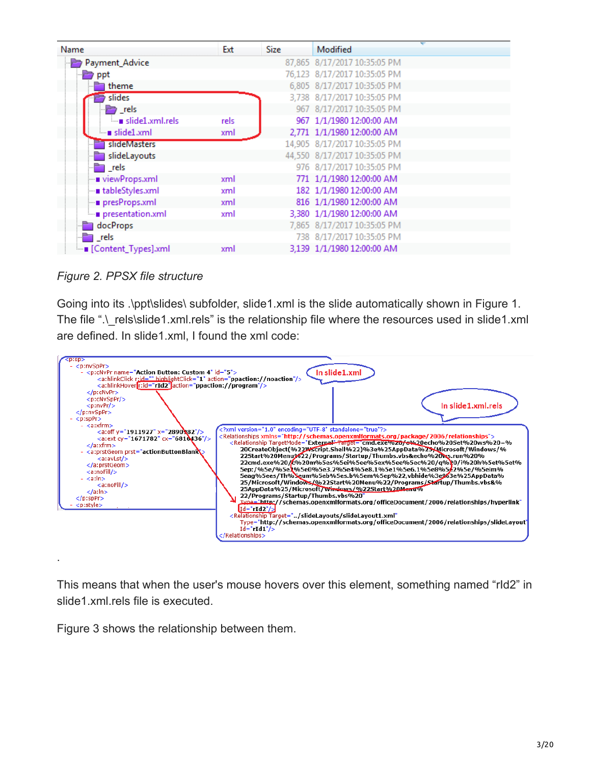| Name                    | Ext  | <b>Size</b> | Modified                     |
|-------------------------|------|-------------|------------------------------|
| Payment_Advice          |      |             | 87,865 8/17/2017 10:35:05 PM |
| $\Rightarrow$ ppt       |      |             | 76,123 8/17/2017 10:35:05 PM |
| theme                   |      |             | 6,805 8/17/2017 10:35:05 PM  |
| slides                  |      |             | 3,738 8/17/2017 10:35:05 PM  |
| $\rightarrow$ rels      |      |             | 967 8/17/2017 10:35:05 PM    |
| slide1.xml.rels         | rels |             | 967 1/1/1980 12:00:00 AM     |
| $-$ slide1.xml          | xml  |             | 2,771 1/1/1980 12:00:00 AM   |
| slideMasters            |      |             | 14,905 8/17/2017 10:35:05 PM |
| slideLayouts            |      |             | 44,550 8/17/2017 10:35:05 PM |
| $\blacksquare$ rels     |      |             | 976 8/17/2017 10:35:05 PM    |
| - viewProps.xml         | xml  |             | 771 1/1/1980 12:00:00 AM     |
| - tableStyles.xml       | xml  |             | 182 1/1/1980 12:00:00 AM     |
| presProps.xml           | xml  |             | 816 1/1/1980 12:00:00 AM     |
| presentation.xml        | xml  |             | 3,380 1/1/1980 12:00:00 AM   |
| and docProps            |      |             | 7,865 8/17/2017 10:35:05 PM  |
| — rels                  |      |             | 738 8/17/2017 10:35:05 PM    |
| i ■ [Content_Types].xml | xml  |             | 3,139 1/1/1980 12:00:00 AM   |

*Figure 2. PPSX file structure*

.

Going into its .\ppt\slides\ subfolder, slide1.xml is the slide automatically shown in Figure 1. The file ".\\_rels\slide1.xml.rels" is the relationship file where the resources used in slide1.xml are defined. In slide1.xml, I found the xml code:



This means that when the user's mouse hovers over this element, something named "rId2" in slide1.xml.rels file is executed.

Figure 3 shows the relationship between them.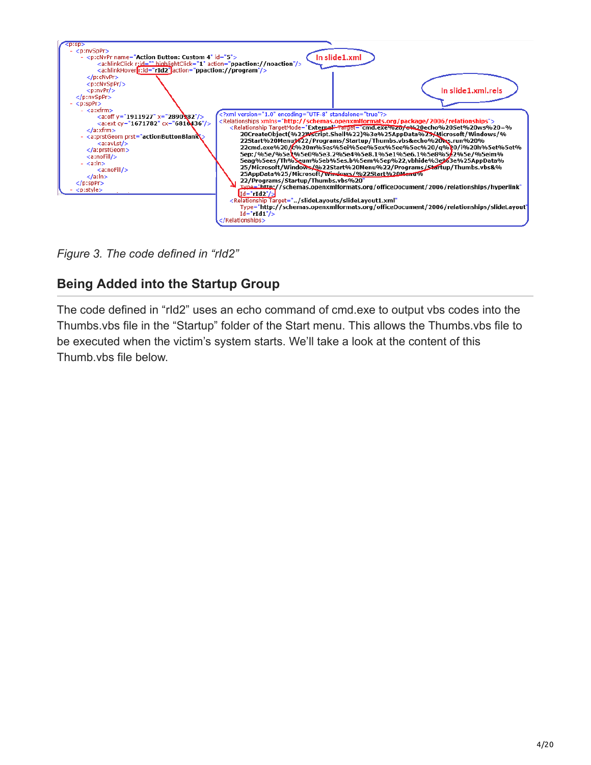

*Figure 3. The code defined in "rId2"*

# **Being Added into the Startup Group**

The code defined in "rId2" uses an echo command of cmd.exe to output vbs codes into the Thumbs.vbs file in the "Startup" folder of the Start menu. This allows the Thumbs.vbs file to be executed when the victim's system starts. We'll take a look at the content of this Thumb.vbs file below.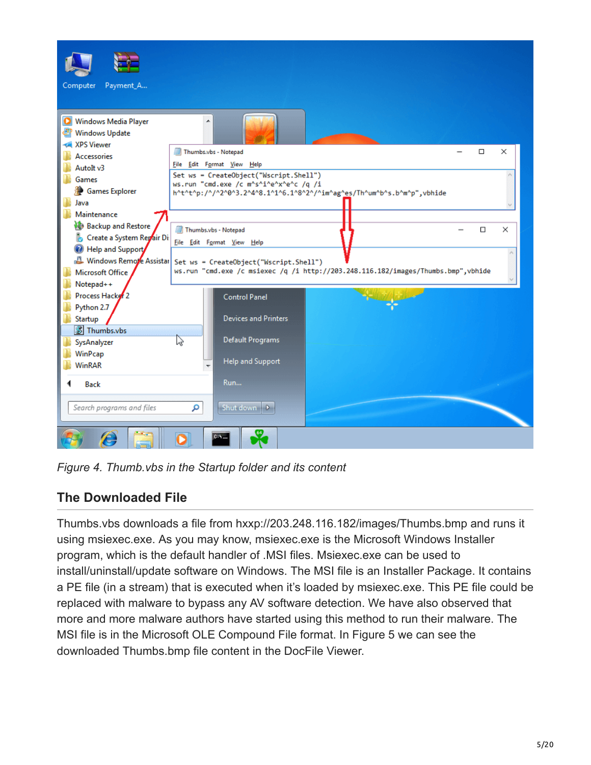

*Figure 4. Thumb.vbs in the Startup folder and its content*

# **The Downloaded File**

Thumbs.vbs downloads a file from hxxp://203.248.116.182/images/Thumbs.bmp and runs it using msiexec.exe. As you may know, msiexec.exe is the Microsoft Windows Installer program, which is the default handler of .MSI files. Msiexec.exe can be used to install/uninstall/update software on Windows. The MSI file is an Installer Package. It contains a PE file (in a stream) that is executed when it's loaded by msiexec.exe. This PE file could be replaced with malware to bypass any AV software detection. We have also observed that more and more malware authors have started using this method to run their malware. The MSI file is in the Microsoft OLE Compound File format. In Figure 5 we can see the downloaded Thumbs.bmp file content in the DocFile Viewer.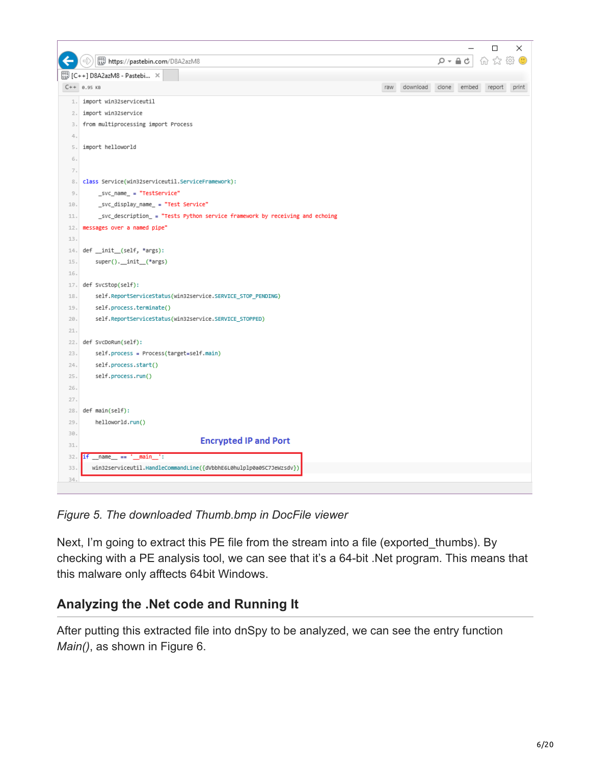

*Figure 5. The downloaded Thumb.bmp in DocFile viewer*

Next, I'm going to extract this PE file from the stream into a file (exported thumbs). By checking with a PE analysis tool, we can see that it's a 64-bit .Net program. This means that this malware only afftects 64bit Windows.

#### **Analyzing the .Net code and Running It**

After putting this extracted file into dnSpy to be analyzed, we can see the entry function *Main()*, as shown in Figure 6.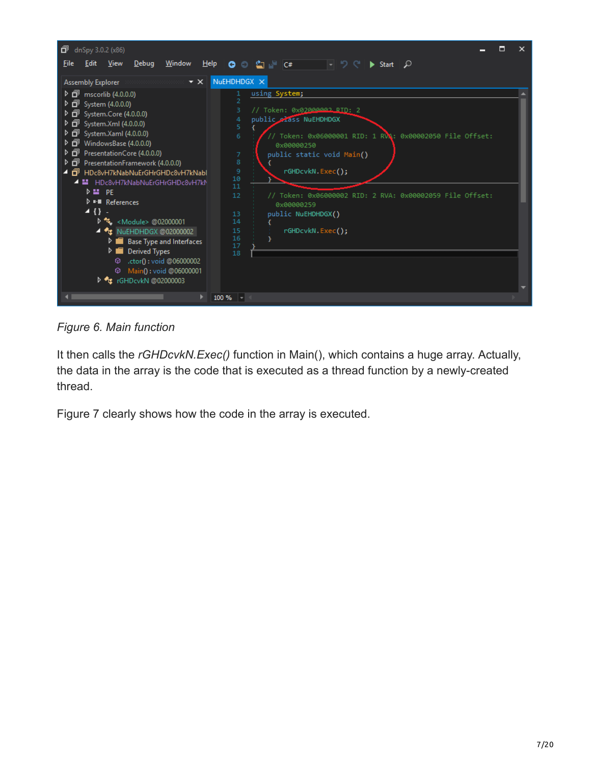

*Figure 6. Main function*

It then calls the *rGHDcvkN.Exec()* function in Main(), which contains a huge array. Actually, the data in the array is the code that is executed as a thread function by a newly-created thread.

Figure 7 clearly shows how the code in the array is executed.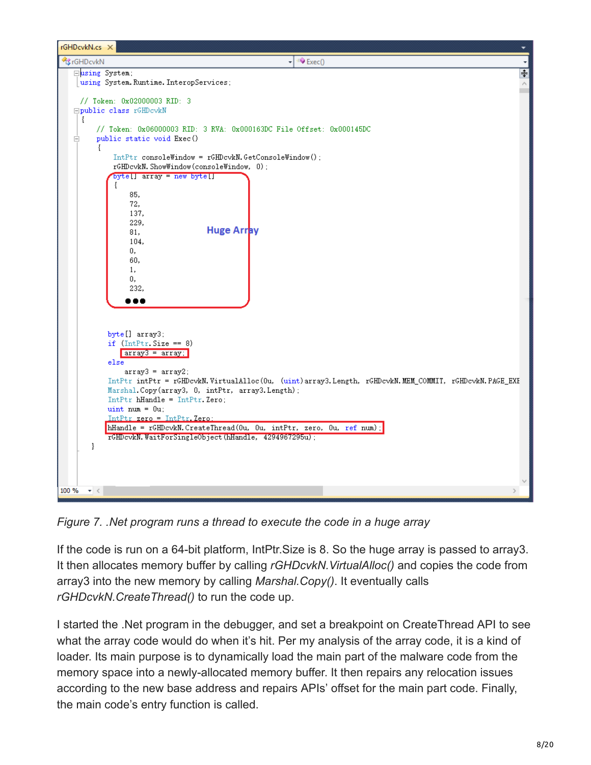

*Figure 7. .Net program runs a thread to execute the code in a huge array*

If the code is run on a 64-bit platform, IntPtr.Size is 8. So the huge array is passed to array3. It then allocates memory buffer by calling *rGHDcvkN.VirtualAlloc()* and copies the code from array3 into the new memory by calling *Marshal.Copy()*. It eventually calls *rGHDcvkN.CreateThread()* to run the code up.

I started the .Net program in the debugger, and set a breakpoint on CreateThread API to see what the array code would do when it's hit. Per my analysis of the array code, it is a kind of loader. Its main purpose is to dynamically load the main part of the malware code from the memory space into a newly-allocated memory buffer. It then repairs any relocation issues according to the new base address and repairs APIs' offset for the main part code. Finally, the main code's entry function is called.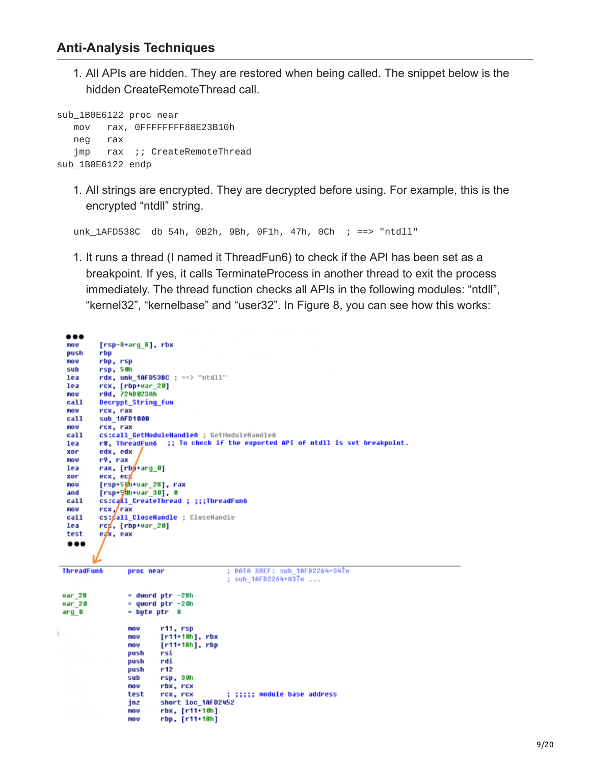$\cdots$ 

1. All APIs are hidden. They are restored when being called. The snippet below is the hidden CreateRemoteThread call.

```
sub_1B0E6122 proc near
  mov rax, 0FFFFFFFF88E23B10h
  neg rax
  jmp rax ;; CreateRemoteThread
sub_1B0E6122 endp
```
1. All strings are encrypted. They are decrypted before using. For example, this is the encrypted "ntdll" string.

unk\_1AFD538C db 54h, 0B2h, 9Bh, 0F1h, 47h, 0Ch ; ==> "ntdll"

1. It runs a thread (I named it ThreadFun6) to check if the API has been set as a breakpoint. If yes, it calls TerminateProcess in another thread to exit the process immediately. The thread function checks all APIs in the following modules: "ntdll", "kernel32", "kernelbase" and "user32". In Figure 8, you can see how this works:

| mov               | $[rsp-8+arg 8]$ , rbx                                                      |
|-------------------|----------------------------------------------------------------------------|
| push              | rbp                                                                        |
| mov               | rbp, rsp                                                                   |
| sub               | rsp, 50h                                                                   |
| lea               | $rdx$ , unk 1AFD538C ; ==> "ntdll"                                         |
| lea               | rcx, [rbp+var_20]                                                          |
| mov               | r8d, 724D023Ah                                                             |
| call              | Decrypt_String fun                                                         |
| mov               | rcx, rax                                                                   |
| call              | sub_1AFD1000                                                               |
| nov               | rcx, rax                                                                   |
| ca11              | cs:call GetModuleHandleA ; GetModuleHandleA                                |
| lea               | r8, ThreadFun6 ;; To check if the exported API of ntdll is set breakpoint. |
| xor               | edx, edx                                                                   |
| nov               | r9, rax                                                                    |
| lea               | rax, [rbj+arq 0]                                                           |
| xor               | ecx, ecx                                                                   |
| MOV               | [rsp+50h+var_28], rax                                                      |
| and               | [rsp+50h+var 30], 0                                                        |
| call              | cs:call CreateThread ; ;;;ThreadFun6                                       |
| mov               | rcx /rax                                                                   |
| call              | cs: all CloseHandle ; CloseHandle                                          |
| lea               |                                                                            |
|                   | rcg, [rbp+var_20]                                                          |
| test              | eax, eax                                                                   |
|                   |                                                                            |
|                   |                                                                            |
|                   |                                                                            |
| <b>ThreadFun6</b> | ; DATA XREF: sub 1AFD2264+34To<br>proc near                                |
|                   | ; sub 1AFD2264+A3To                                                        |
|                   |                                                                            |
| var 28            | - dword ptr -28h                                                           |
| var 20            | $=$ quord ptr $-20h$                                                       |
| arq 0             | $=$ byte ptr $8$                                                           |
|                   |                                                                            |
|                   | r11, rsp<br>nov                                                            |
|                   | $[r11+10h]$ , rbx<br>nov                                                   |
|                   | $[r11+18h]$ , rbp<br>nov                                                   |
|                   | rsi<br>push                                                                |
|                   | rdi<br>push                                                                |
|                   | r12<br>push                                                                |
|                   | rsp, 30h<br>sub                                                            |
|                   | rbx, rcx<br>nov                                                            |
|                   | test<br>; ;;;;; module base address<br>rcx, rcx                            |
|                   | short loc_1AFD2452<br>jnz                                                  |
|                   | $rbx$ , $[r11*10h]$<br>nov                                                 |
|                   | nov                                                                        |
|                   | $rbp, [r11+18h]$                                                           |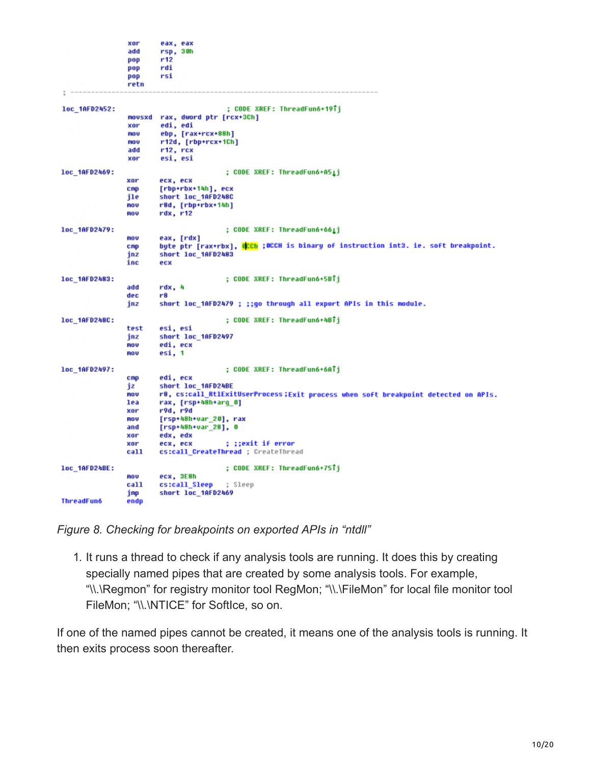|                   | xor    | eax, eax                                                                           |
|-------------------|--------|------------------------------------------------------------------------------------|
|                   | add    | rsp, 30h                                                                           |
|                   | pop    | r12                                                                                |
|                   | pop    | rdi                                                                                |
|                   | pop    | rsi                                                                                |
|                   | retn   |                                                                                    |
|                   |        |                                                                                    |
| loc 1AFD2452:     |        | ; CODE XREF: ThreadFun6+19Tj                                                       |
|                   | novsxd | rax, dword ptr [rcx+3Ch]                                                           |
|                   | xor    | edi, edi                                                                           |
|                   | nov    | ebp, [rax+rcx+88h]                                                                 |
|                   | nov    | r12d, [rbp+rcx+1Ch]                                                                |
|                   | add    | r12, rcx                                                                           |
|                   | xor    | esi, esi                                                                           |
| loc_1AFD2469:     |        | ; CODE XREF: ThreadFun6+A51j                                                       |
|                   | xor    | ecx, ecx                                                                           |
|                   | cmp    | [rbp+rbx+14h], ecx                                                                 |
|                   | ile    | short loc_1AFD248C                                                                 |
|                   | MOV    | r8d, [rbp+rbx+14h]                                                                 |
|                   | mov    | rdx, r12                                                                           |
| loc 1AFD2479:     |        | ; CODE XREF: ThreadFun6+661j                                                       |
|                   | MOV    | eax, [rdx]                                                                         |
|                   | cmp    | byte ptr [rax+rbx], BCCh ;OCCH is binary of instruction int3. ie. soft breakpoint. |
|                   | inz    | short loc_1AFD2483                                                                 |
|                   | inc    | ecx                                                                                |
| loc 1AFD2483:     |        | ; CODE XREF: ThreadFun6+5BTj                                                       |
|                   | add    | rdx, 4                                                                             |
|                   | dec    | r8                                                                                 |
|                   | jnz    | short loc 1AFD2479 ; ;;go through all export APIs in this module.                  |
| loc 1AFD248C:     |        | ; CODE XREF: ThreadFun6+4BTj                                                       |
|                   | test   | esi, esi                                                                           |
|                   | jnz    | short loc_1AFD2497                                                                 |
|                   | mov    | edi, ecx                                                                           |
|                   | MOV    | esi, 1                                                                             |
| loc_1AFD2497:     |        | ; CODE XREF: ThreadFun6+6ATj                                                       |
|                   | cmp    | edi, ecx                                                                           |
|                   | 1z     | short loc 1AFD24BE                                                                 |
|                   | mov    | r8, cs:call_RtlExitUserProcess;Exit process when soft breakpoint detected on APIs. |
|                   | lea    | rax, [rsp+48h+arq_0]                                                               |
|                   | xor    | r9d, r9d                                                                           |
|                   | mov    | [rsp+48h+var_20], rax                                                              |
|                   | and    | [rsp+48h+var_28], 0                                                                |
|                   | xor    | edx, edx                                                                           |
|                   | xor    | : ::exit if error<br>ecx, ecx                                                      |
|                   | call   | cs:call CreateThread ; CreateThread                                                |
|                   |        |                                                                                    |
| loc 1AFD24BE:     |        | ; CODE XREF: ThreadFun6+75îj                                                       |
|                   | MOV    | ecx, 3E8h                                                                          |
|                   | call   | cs:call_Sleep<br>; Sleep                                                           |
|                   | jmp    | short loc_1AFD2469                                                                 |
| <b>ThreadFun6</b> | endp   |                                                                                    |

*Figure 8. Checking for breakpoints on exported APIs in "ntdll"*

1. It runs a thread to check if any analysis tools are running. It does this by creating specially named pipes that are created by some analysis tools. For example, "\\.\Regmon" for registry monitor tool RegMon; "\\.\FileMon" for local file monitor tool FileMon; "\\.\NTICE" for SoftIce, so on.

If one of the named pipes cannot be created, it means one of the analysis tools is running. It then exits process soon thereafter.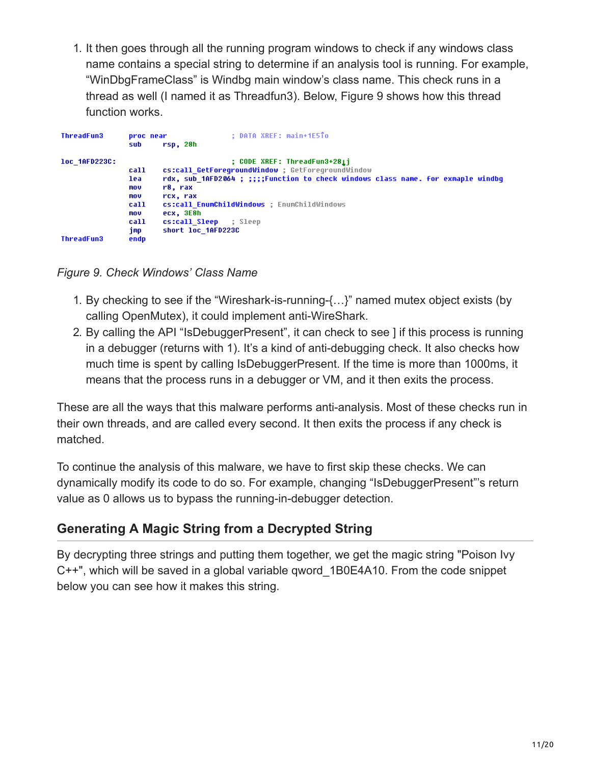1. It then goes through all the running program windows to check if any windows class name contains a special string to determine if an analysis tool is running. For example, "WinDbgFrameClass" is Windbg main window's class name. This check runs in a thread as well (I named it as Threadfun3). Below, Figure 9 shows how this thread function works.

| <b>ThreadFun3</b>                  | <b>Droc</b> near<br>sub                                         | : DATA XREF: main+1E5To<br>rsp, 28h                                                                                                                                                                                                                                                                        |
|------------------------------------|-----------------------------------------------------------------|------------------------------------------------------------------------------------------------------------------------------------------------------------------------------------------------------------------------------------------------------------------------------------------------------------|
| loc 1AFD223C:<br><b>ThreadFun3</b> | call<br>lea<br>mov<br>mov<br>call<br>mov<br>call<br>imp<br>endp | ; CODE XREF: ThreadFun3+281j<br>cs:call GetForegroundWindow ; GetForegroundWindow<br>rdx, sub 1AFD2064 ; ;;;;Function to check windows class name. For exmaple windbq<br>r8. rax<br>rcx, rax<br>cs:call EnumChildWindows : EnumChildWindows<br>ecx, 3E8h<br>cs:call Sleep<br>: Sleep<br>short loc 1AFD223C |

*Figure 9. Check Windows' Class Name*

- 1. By checking to see if the "Wireshark-is-running-{…}" named mutex object exists (by calling OpenMutex), it could implement anti-WireShark.
- 2. By calling the API "IsDebuggerPresent", it can check to see ] if this process is running in a debugger (returns with 1). It's a kind of anti-debugging check. It also checks how much time is spent by calling IsDebuggerPresent. If the time is more than 1000ms, it means that the process runs in a debugger or VM, and it then exits the process.

These are all the ways that this malware performs anti-analysis. Most of these checks run in their own threads, and are called every second. It then exits the process if any check is matched.

To continue the analysis of this malware, we have to first skip these checks. We can dynamically modify its code to do so. For example, changing "IsDebuggerPresent"'s return value as 0 allows us to bypass the running-in-debugger detection.

# **Generating A Magic String from a Decrypted String**

By decrypting three strings and putting them together, we get the magic string "Poison Ivy C++", which will be saved in a global variable qword\_1B0E4A10. From the code snippet below you can see how it makes this string.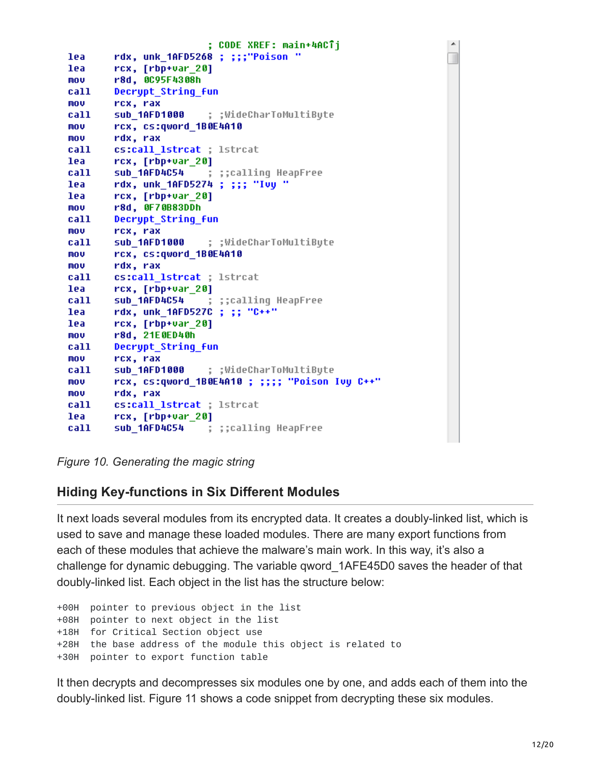; CODE XREF: main+4ACTj lea rdx, unk\_1AFD5268 ; ;;;"Poison " lea rcx, [rbp+var 20] r8d, 0C95F4308h mov Decrypt String fun call mov rcx, rax sub\_1AFD1000 ; ;WideCharToMultiByte; call. rcx, cs:qword 1B0E4A10 mov mov rdx, rax call cs:call lstrcat ; lstrcat lea  $rcx, [rbp+var 20]$ call **sub 1AFD4C54** ; ;;calling HeapFree rdx, unk 1AFD5274 ; ;;; "Ivy " lea lea  $rcx, [rbp+var 20]$ r8d, 0F70B83DDh mov call Decrypt\_String\_fun mov rcx, rax call sub\_1AFD1000 ; ;WideCharToMultiByte; mov rcx, cs:qword\_1B0E4A10 mov rdx, rax call cs:call lstrcat ; lstrcat  $rcx, [rbp+var_20]$ lea ; ;;calling HeapFree call sub\_1AFD4C54 rdx, unk\_1AFD527C ; ;; "C++" lea lea  $rcx, [rbp+var_20]$ mov r8d, 21E0ED40h Decrypt\_String\_fun call mov rcx, rax sub\_1AFD1000 ; ;WideCharToMultiByte; call rcx, cs:qword\_1B0E4A10 ; ;;;; "Poison Ivy C++" mov mov rdx, rax cs:call lstrcat ; lstrcat call  $rcx, [rbp+var_20]$ lea call sub\_1AFD4C54 ; ;;calling HeapFree;

*Figure 10. Generating the magic string*

#### **Hiding Key-functions in Six Different Modules**

It next loads several modules from its encrypted data. It creates a doubly-linked list, which is used to save and manage these loaded modules. There are many export functions from each of these modules that achieve the malware's main work. In this way, it's also a challenge for dynamic debugging. The variable qword\_1AFE45D0 saves the header of that doubly-linked list. Each object in the list has the structure below:

```
+00H pointer to previous object in the list
+08H pointer to next object in the list
+18H for Critical Section object use
+28H the base address of the module this object is related to
+30H pointer to export function table
```
It then decrypts and decompresses six modules one by one, and adds each of them into the doubly-linked list. Figure 11 shows a code snippet from decrypting these six modules.

۸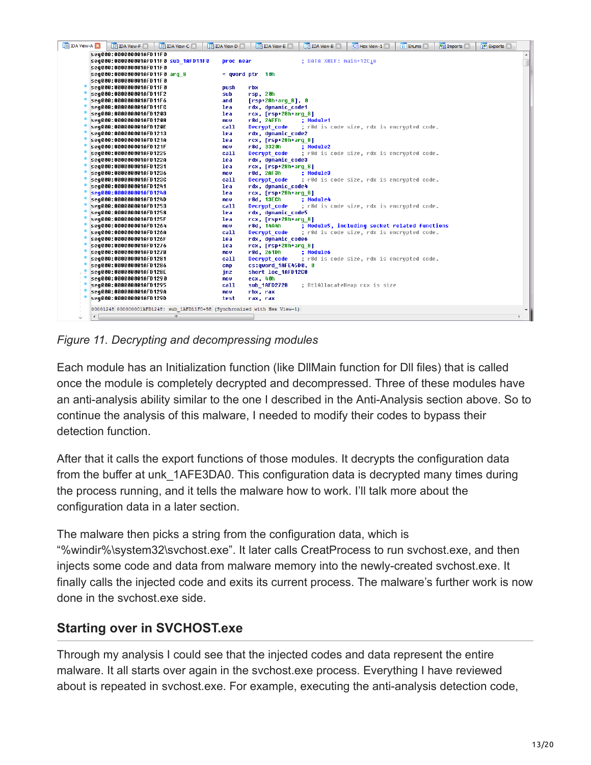| <b>IDA View-A EX</b><br>IDA View-C<br><b>IDA View-D</b><br>LE IDA View-F  | Enums <sup>x</sup><br>Exports<br><b>IDA</b> View-E<br>O Hex View-1<br><b>PE Imports</b><br><b>IDA View-B</b> |
|---------------------------------------------------------------------------|--------------------------------------------------------------------------------------------------------------|
| seg000:000000001AFD11F0                                                   |                                                                                                              |
| seq000:000000001AFD11F0 sub 1AFD11F0                                      | ; DATA XREF: main+12C10<br>proc near                                                                         |
| seq000:000000001AFD11F0                                                   |                                                                                                              |
| seg000:000000001AFD11F0 arg 8                                             | $=$ qword ptr $=$ 10h                                                                                        |
| seq000:000000001AFD11F0                                                   |                                                                                                              |
| seq000:000000001AFD11F0<br>push                                           | rbx                                                                                                          |
| seq000:000000001AFD11F2<br>sub                                            | rsp, 20h                                                                                                     |
| seg000:000000001AFD11F6<br>and                                            | $[rsp+28h+arg 8], 0$                                                                                         |
| seg000:000000001AFD11FC<br>lea                                            | rdx, dynamic code1                                                                                           |
| seq000:000000001AFD1203<br>lea                                            | $rcx, [rsp+28h+arg 8]$                                                                                       |
| seq000:000000001AFD1208<br>mov                                            | r8d, 24EFh<br>; Module1                                                                                      |
| call<br> seq000:000000001AFD120E                                          | ; r8d is code size, rdx is encrypted code.<br>Decrypt code                                                   |
| seq000:000000001AFD1213<br>lea.                                           | rdx, dynamic code2<br>rcx, [rsp+28h+arq 8]                                                                   |
| seq000:000000001AFD121A<br>lea<br>seg000:000000001AFD121F<br>mov          | r8d, 3320h<br>: Module2                                                                                      |
| call<br>seq000:000000001AFD1225                                           | ; r8d is code size, rdx is encrypted code.<br>Decrypt code                                                   |
| seg000:000000001AFD122A<br>lea                                            | rdx, dynamic code3                                                                                           |
| seq000:000000001AFD1231<br>lea                                            | rcx, [rsp+28h+arq 8]                                                                                         |
| seq000:000000001AFD1236<br>mov                                            | r8d, 2AF3h<br>; Module3                                                                                      |
| call<br>seg000:000000001AFD123C                                           | ; r8d is code size, rdx is encrypted code.<br>Decrypt code                                                   |
| seq000:000000001AFD1241<br>lea                                            | rdx, dynamic code4                                                                                           |
| seq000:000000001AFD1248<br>lea                                            | $rcx, [rsp+28h+arg 8]$                                                                                       |
| seq000:000000001AFD124D<br>mov                                            | r8d, 13ECh<br>; Module4                                                                                      |
| call<br>seq000:000000001AFD1253                                           | ; r8d is code size, rdx is encrypted code.<br>Decrypt code                                                   |
| seq000:000000001AFD1258<br>lea                                            | rdx, dynamic code5                                                                                           |
| seq000:000000001AFD125F<br>lea                                            | $rcx, [rsp+28h+arg 8]$                                                                                       |
| seq000:000000001AFD1264<br>mov                                            | ; Module5, including socket related functions<br>r8d, 14A4h                                                  |
| call<br>seg000:000000001AFD126A                                           | ; r8d is code size, rdx is encrypted code.<br>Decrypt code                                                   |
| seg000:000000001AFD126F<br>lea                                            | rdx, dynamic code6                                                                                           |
| seg000:000000001AFD1276<br>lea                                            | $rcx$ , $[rsp+28h+arg 8]$                                                                                    |
| seq000:000000001AFD127B<br>mov                                            | r8d, 261Dh<br>; Moduleó                                                                                      |
| call<br>seq000:000000001AFD1281                                           | ; r8d is code size, rdx is encrypted code.<br>Decrypt code                                                   |
| seq000:000000001AFD1286<br><b>CMP</b>                                     | cs:qword 1AFE45D0, 0                                                                                         |
| seq000:000000001AFD128E<br>jnz<br>seq000:000000001AFD1290<br>mov          | short loc_1AFD12C8<br>ecx, 40h                                                                               |
| call<br>seg000:000000001AFD1295                                           | ; RtlAllocateHeap rcx is size<br>sub 1AFD2728                                                                |
| seq000:000000001AFD129A<br>mov                                            | rbx, rax                                                                                                     |
| seq000:000000001AFD129D<br>test                                           | rax, rax                                                                                                     |
|                                                                           |                                                                                                              |
| 00001248 000000001AFD1248: sub 1AFD11F0+58 (Synchronized with Hex View-1) |                                                                                                              |
| $\leftarrow$<br>m.                                                        |                                                                                                              |

*Figure 11. Decrypting and decompressing modules*

Each module has an Initialization function (like DllMain function for Dll files) that is called once the module is completely decrypted and decompressed. Three of these modules have an anti-analysis ability similar to the one I described in the Anti-Analysis section above. So to continue the analysis of this malware, I needed to modify their codes to bypass their detection function.

After that it calls the export functions of those modules. It decrypts the configuration data from the buffer at unk\_1AFE3DA0. This configuration data is decrypted many times during the process running, and it tells the malware how to work. I'll talk more about the configuration data in a later section.

The malware then picks a string from the configuration data, which is "%windir%\system32\svchost.exe". It later calls CreatProcess to run svchost.exe, and then injects some code and data from malware memory into the newly-created svchost.exe. It finally calls the injected code and exits its current process. The malware's further work is now done in the svchost.exe side.

# **Starting over in SVCHOST.exe**

Through my analysis I could see that the injected codes and data represent the entire malware. It all starts over again in the svchost.exe process. Everything I have reviewed about is repeated in svchost.exe. For example, executing the anti-analysis detection code,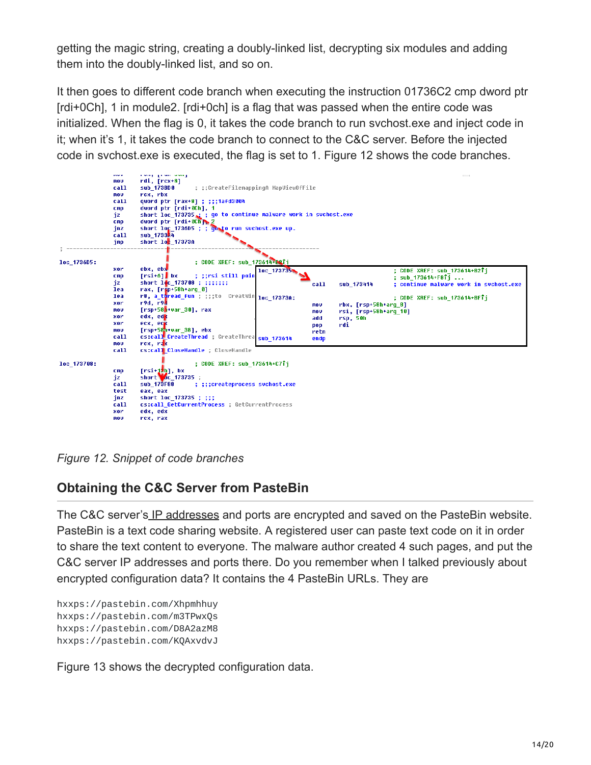getting the magic string, creating a doubly-linked list, decrypting six modules and adding them into the doubly-linked list, and so on.

It then goes to different code branch when executing the instruction 01736C2 cmp dword ptr [rdi+0Ch], 1 in module2. [rdi+0ch] is a flag that was passed when the entire code was initialized. When the flag is 0, it takes the code branch to run svchost.exe and inject code in it; when it's 1, it takes the code branch to connect to the C&C server. Before the injected code in svchost.exe is executed, the flag is set to 1. Figure 12 shows the code branches.



*Figure 12. Snippet of code branches*

#### **Obtaining the C&C Server from PasteBin**

The C&C server's [IP addresses](https://www.fortinet.com/products/security-subscriptions/ipreputation-antibot.html) and ports are encrypted and saved on the PasteBin website. PasteBin is a text code sharing website. A registered user can paste text code on it in order to share the text content to everyone. The malware author created 4 such pages, and put the C&C server IP addresses and ports there. Do you remember when I talked previously about encrypted configuration data? It contains the 4 PasteBin URLs. They are

hxxps://pastebin.com/Xhpmhhuy hxxps://pastebin.com/m3TPwxQs hxxps://pastebin.com/D8A2azM8 hxxps://pastebin.com/KQAxvdvJ

Figure 13 shows the decrypted configuration data.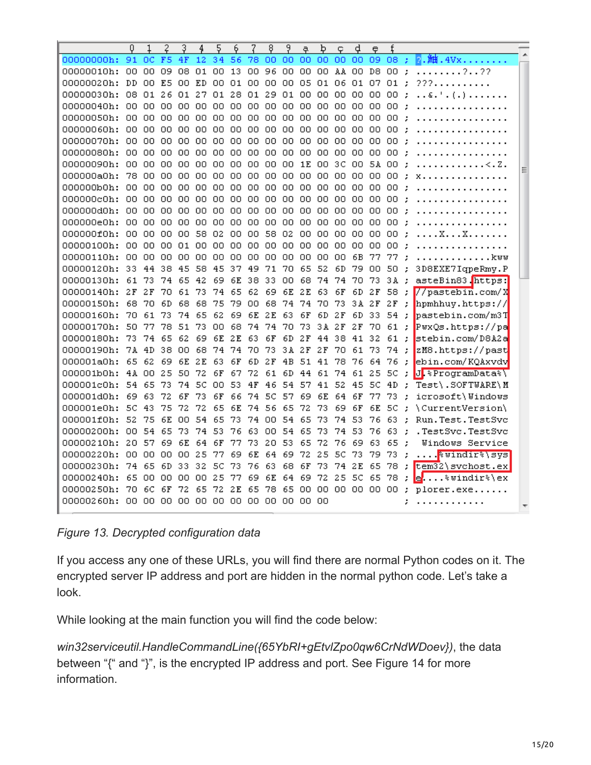| F <sub>5</sub><br>34<br>00000000h:<br>91<br>0C<br>4F<br>12<br>56<br>00 00<br>09<br>78.<br>OO.<br>00<br>-00<br>00.<br>08:<br>96<br>00<br>00<br>09<br>08<br>01<br>OO.<br>13<br>00<br>00.<br>00<br>00<br>AA 00 D8<br>00<br>00000010h:<br>$\cdot$<br>2.122<br>DD<br>E5<br>ED<br>01<br>00<br>00<br>05<br>01<br>06<br>01<br>00000020h:<br>00.<br>OΟ<br>OΟ<br>00<br>07<br>01<br>222.<br>$\cdot$<br>28<br>00000030h:<br>08<br>26<br>01<br>27<br>01<br>01<br>29<br>01<br>00<br>00<br>00<br>00.<br>01.<br>00.<br>00.<br>÷<br>ε. '<br>( . )<br>00000040h:<br>00 00<br>00.<br>00.<br>00<br>OO.<br>00<br>00.<br>OO.<br>00.<br>00<br>00<br>00<br>00<br>00.<br>00<br>00000050h:<br>00<br>00<br>00<br>OO.<br>OO.<br>OO.<br>00<br>OO.<br>OO.<br>00<br>OO.<br>00<br>00<br>00<br>OO.<br>OΟ<br>÷<br>00000060h:<br>00.<br>00.<br>00<br>00<br>00<br>OO.<br>OΟ<br>OO.<br>OO.<br>00.<br>00<br>00<br>00.<br>00<br>00<br>00<br>00000070h:<br>00<br>00<br>00<br>00<br>00<br>00<br>00<br>00<br>00<br>00<br>00<br>00<br>00<br>00<br>00<br>00<br>OO.<br>00<br>OO.<br>00<br>00<br>00000080h:<br>00.<br>OΟ<br>ΩO<br>00<br>OΟ<br>OO.<br>00<br>00<br>00<br>OΟ<br>00<br>÷<br>00000090h:<br>00.<br>00.<br>00.<br>00.<br>00<br>OO.<br>00<br>00.<br>OO.<br>00<br>1E<br>00.<br>зс<br>00.<br>5A.<br>00<br>÷<br>78<br>000000aOh:<br>00<br>00.<br>OO.<br>00.<br>00<br>00<br>00.<br>OO.<br>-00<br>OO.<br>00<br>00<br>00<br>00.<br>00<br>.,<br>X<br>000000bOh:<br>00.<br>00<br>00<br>00<br>00<br>OO.<br>00<br>00<br>OO.<br>00<br>00<br>00<br>00.<br>00<br>00<br>00<br>÷ |
|-----------------------------------------------------------------------------------------------------------------------------------------------------------------------------------------------------------------------------------------------------------------------------------------------------------------------------------------------------------------------------------------------------------------------------------------------------------------------------------------------------------------------------------------------------------------------------------------------------------------------------------------------------------------------------------------------------------------------------------------------------------------------------------------------------------------------------------------------------------------------------------------------------------------------------------------------------------------------------------------------------------------------------------------------------------------------------------------------------------------------------------------------------------------------------------------------------------------------------------------------------------------------------------------------------------------------------------------------------------------------------------------------------------------------------------------------------------------------------------------------------------------------------|
|                                                                                                                                                                                                                                                                                                                                                                                                                                                                                                                                                                                                                                                                                                                                                                                                                                                                                                                                                                                                                                                                                                                                                                                                                                                                                                                                                                                                                                                                                                                             |
|                                                                                                                                                                                                                                                                                                                                                                                                                                                                                                                                                                                                                                                                                                                                                                                                                                                                                                                                                                                                                                                                                                                                                                                                                                                                                                                                                                                                                                                                                                                             |
|                                                                                                                                                                                                                                                                                                                                                                                                                                                                                                                                                                                                                                                                                                                                                                                                                                                                                                                                                                                                                                                                                                                                                                                                                                                                                                                                                                                                                                                                                                                             |
|                                                                                                                                                                                                                                                                                                                                                                                                                                                                                                                                                                                                                                                                                                                                                                                                                                                                                                                                                                                                                                                                                                                                                                                                                                                                                                                                                                                                                                                                                                                             |
|                                                                                                                                                                                                                                                                                                                                                                                                                                                                                                                                                                                                                                                                                                                                                                                                                                                                                                                                                                                                                                                                                                                                                                                                                                                                                                                                                                                                                                                                                                                             |
|                                                                                                                                                                                                                                                                                                                                                                                                                                                                                                                                                                                                                                                                                                                                                                                                                                                                                                                                                                                                                                                                                                                                                                                                                                                                                                                                                                                                                                                                                                                             |
|                                                                                                                                                                                                                                                                                                                                                                                                                                                                                                                                                                                                                                                                                                                                                                                                                                                                                                                                                                                                                                                                                                                                                                                                                                                                                                                                                                                                                                                                                                                             |
|                                                                                                                                                                                                                                                                                                                                                                                                                                                                                                                                                                                                                                                                                                                                                                                                                                                                                                                                                                                                                                                                                                                                                                                                                                                                                                                                                                                                                                                                                                                             |
|                                                                                                                                                                                                                                                                                                                                                                                                                                                                                                                                                                                                                                                                                                                                                                                                                                                                                                                                                                                                                                                                                                                                                                                                                                                                                                                                                                                                                                                                                                                             |
|                                                                                                                                                                                                                                                                                                                                                                                                                                                                                                                                                                                                                                                                                                                                                                                                                                                                                                                                                                                                                                                                                                                                                                                                                                                                                                                                                                                                                                                                                                                             |
|                                                                                                                                                                                                                                                                                                                                                                                                                                                                                                                                                                                                                                                                                                                                                                                                                                                                                                                                                                                                                                                                                                                                                                                                                                                                                                                                                                                                                                                                                                                             |
|                                                                                                                                                                                                                                                                                                                                                                                                                                                                                                                                                                                                                                                                                                                                                                                                                                                                                                                                                                                                                                                                                                                                                                                                                                                                                                                                                                                                                                                                                                                             |
| 000000c0h:<br>00.<br>00<br>00<br>00<br>00<br>OO.<br>00.<br>00<br>00<br>00<br>00<br>00<br>OO.<br>00.<br>00<br>00                                                                                                                                                                                                                                                                                                                                                                                                                                                                                                                                                                                                                                                                                                                                                                                                                                                                                                                                                                                                                                                                                                                                                                                                                                                                                                                                                                                                             |
| 000000dOh:<br>00<br>00.<br>00<br>00<br>00<br>OO.<br>00<br>OO.<br>00<br>00<br>00<br>00<br>00<br>00<br>00.<br>OΟ                                                                                                                                                                                                                                                                                                                                                                                                                                                                                                                                                                                                                                                                                                                                                                                                                                                                                                                                                                                                                                                                                                                                                                                                                                                                                                                                                                                                              |
| 000000eOh:<br>00<br>00<br>00<br>00<br>00<br>00<br>00<br>00<br>OO.<br>00<br>00<br>00<br>00.<br>00<br>00<br>00<br>÷                                                                                                                                                                                                                                                                                                                                                                                                                                                                                                                                                                                                                                                                                                                                                                                                                                                                                                                                                                                                                                                                                                                                                                                                                                                                                                                                                                                                           |
| 58<br>000000f0h:<br>00<br>00<br>00<br>00<br>58<br>02<br>00<br>OO.<br>02<br>OΟ<br>00<br>00<br>00<br>00<br>OΟ<br>. . X. X.<br>÷                                                                                                                                                                                                                                                                                                                                                                                                                                                                                                                                                                                                                                                                                                                                                                                                                                                                                                                                                                                                                                                                                                                                                                                                                                                                                                                                                                                               |
| 00000100h:<br>00.<br>00.<br>OO.<br>01<br>00.<br>OO.<br>00<br>00.<br>00.<br>00<br>OO.<br>00<br>00.<br>00<br>00<br>00<br>÷                                                                                                                                                                                                                                                                                                                                                                                                                                                                                                                                                                                                                                                                                                                                                                                                                                                                                                                                                                                                                                                                                                                                                                                                                                                                                                                                                                                                    |
| 00000110h:<br>00 00<br>00<br>00 00<br>00<br>00<br>00<br>00<br>00<br>00<br>00<br>00<br>6B<br>77<br>77<br>. kww                                                                                                                                                                                                                                                                                                                                                                                                                                                                                                                                                                                                                                                                                                                                                                                                                                                                                                                                                                                                                                                                                                                                                                                                                                                                                                                                                                                                               |
| 00000120h:<br>33<br>44<br>38<br>45<br>58<br>45<br>37<br>49<br>71<br>70<br>65<br>52<br>6D<br>79<br>50<br>3D8EXE7IqpeRmy.P<br>OO.<br>$\cdot$                                                                                                                                                                                                                                                                                                                                                                                                                                                                                                                                                                                                                                                                                                                                                                                                                                                                                                                                                                                                                                                                                                                                                                                                                                                                                                                                                                                  |
| 73<br>74<br>42<br>38<br>00000130h:<br>61<br>65<br>69<br>6E<br>33<br>00.<br>68<br>74.<br>74<br>70<br>73<br>3A :<br>asteBin83.https:                                                                                                                                                                                                                                                                                                                                                                                                                                                                                                                                                                                                                                                                                                                                                                                                                                                                                                                                                                                                                                                                                                                                                                                                                                                                                                                                                                                          |
| 2F<br>2F<br>70<br>61<br>73<br>74<br>65<br>62<br>69<br>6E<br>2E<br>63<br>6F<br>6D<br>2 F<br>58;<br>$//$ pastebin.com/X<br>00000140h:                                                                                                                                                                                                                                                                                                                                                                                                                                                                                                                                                                                                                                                                                                                                                                                                                                                                                                                                                                                                                                                                                                                                                                                                                                                                                                                                                                                         |
| 75<br>79<br>2 F<br>2 F<br>hpmhhuy.https://<br>00000150h:<br>68<br>70<br>6D<br>68<br>68<br>OΟ<br>68<br>74<br>74<br>70<br>73<br>3 A<br>$\cdot$                                                                                                                                                                                                                                                                                                                                                                                                                                                                                                                                                                                                                                                                                                                                                                                                                                                                                                                                                                                                                                                                                                                                                                                                                                                                                                                                                                                |
| 62<br>pastebin.com/m3T<br>00000160h:<br>70.<br>61<br>73<br>74<br>65<br>69<br>6E<br>2 E<br>63<br>6F<br>6D 2F<br>6D<br>33<br>54:                                                                                                                                                                                                                                                                                                                                                                                                                                                                                                                                                                                                                                                                                                                                                                                                                                                                                                                                                                                                                                                                                                                                                                                                                                                                                                                                                                                              |
| 00000170h:<br>50.<br>77<br>78<br>51<br>73<br>OO.<br>68<br>74<br>74<br>73<br>3A 2F<br>2 F<br>70.<br>61 :<br>PwxQs.https://pa<br>-70                                                                                                                                                                                                                                                                                                                                                                                                                                                                                                                                                                                                                                                                                                                                                                                                                                                                                                                                                                                                                                                                                                                                                                                                                                                                                                                                                                                          |
| 73<br>74<br>62<br>69<br>6E<br>2E<br>63<br>6F<br>2F<br>44 38<br>32<br>61:<br>stebin.com/D8A2a<br>00000180h:<br>65<br>6D<br>41                                                                                                                                                                                                                                                                                                                                                                                                                                                                                                                                                                                                                                                                                                                                                                                                                                                                                                                                                                                                                                                                                                                                                                                                                                                                                                                                                                                                |
| 00000190h:<br>7A 4D<br>38<br>00<br>68<br>74<br>74<br>70<br>73<br>3A 2F<br>2 F<br>70.<br>61<br>73<br>74 :<br>zM8.https://past                                                                                                                                                                                                                                                                                                                                                                                                                                                                                                                                                                                                                                                                                                                                                                                                                                                                                                                                                                                                                                                                                                                                                                                                                                                                                                                                                                                                |
| 2E<br>000001a0h:<br>65<br>62<br>69<br>6E<br>63<br>6F<br>6D<br>2F<br>4B<br>51<br>41<br>78<br>76<br>64<br>76:<br>ebin.com/KQAxvdv                                                                                                                                                                                                                                                                                                                                                                                                                                                                                                                                                                                                                                                                                                                                                                                                                                                                                                                                                                                                                                                                                                                                                                                                                                                                                                                                                                                             |
| 25<br>72<br>6D 44 61 74 61 25 5C<br>J. *ProgramData*\<br>000001b0h:<br>4A 00<br>50<br>6F<br>67<br>72<br>61<br>$\cdot$                                                                                                                                                                                                                                                                                                                                                                                                                                                                                                                                                                                                                                                                                                                                                                                                                                                                                                                                                                                                                                                                                                                                                                                                                                                                                                                                                                                                       |
| 000001c0h:<br>54 65<br>73<br>74<br>5C<br>OO.<br>53<br>4F<br>46<br>54 57<br>41 52<br>45 SC<br>4D<br>Test\.SOFTWARE\M<br>$\mathcal{L}$                                                                                                                                                                                                                                                                                                                                                                                                                                                                                                                                                                                                                                                                                                                                                                                                                                                                                                                                                                                                                                                                                                                                                                                                                                                                                                                                                                                        |
| 69<br>-5C<br>57<br>6E<br>000001dOh:<br>63<br>72<br>6F<br>73<br>6F<br>66<br>74<br>69<br>64.<br>6F<br>77<br>73<br>icrosoft\Windows<br>÷                                                                                                                                                                                                                                                                                                                                                                                                                                                                                                                                                                                                                                                                                                                                                                                                                                                                                                                                                                                                                                                                                                                                                                                                                                                                                                                                                                                       |
| 5C<br>43<br>75<br>72<br>72<br>6E<br>56<br>72<br>73<br>5C<br>000001eOh:<br>65<br>74<br>65<br>69<br>6F<br>6E<br>\CurrentVersion\<br>$\cdot$                                                                                                                                                                                                                                                                                                                                                                                                                                                                                                                                                                                                                                                                                                                                                                                                                                                                                                                                                                                                                                                                                                                                                                                                                                                                                                                                                                                   |
| 52<br>54<br>54<br>73<br>63<br>000001f0h:<br>75<br>6E<br>OO.<br>65<br>73<br>74.<br>-00<br>65<br>74.<br>-53<br>76<br>Run. Test. TestSvc<br>$\cdot$                                                                                                                                                                                                                                                                                                                                                                                                                                                                                                                                                                                                                                                                                                                                                                                                                                                                                                                                                                                                                                                                                                                                                                                                                                                                                                                                                                            |
| 76<br>00<br>54<br>65<br>73<br>74<br>53<br>63<br>54<br>65<br>73<br>74<br>53<br>76<br>63<br>.TestSvc.TestSvc<br>00000200h:<br>OO.<br>÷                                                                                                                                                                                                                                                                                                                                                                                                                                                                                                                                                                                                                                                                                                                                                                                                                                                                                                                                                                                                                                                                                                                                                                                                                                                                                                                                                                                        |
| 65<br>00000210h:<br>20<br>57<br>69<br>6E<br>64<br>6F<br>77<br>73<br>20<br>53<br>65<br>72<br>76<br>-69<br>63<br>$\cdot$<br>Windows Service                                                                                                                                                                                                                                                                                                                                                                                                                                                                                                                                                                                                                                                                                                                                                                                                                                                                                                                                                                                                                                                                                                                                                                                                                                                                                                                                                                                   |
| 00000220h:<br>00<br>00.<br>00<br>25<br>77<br>69<br>6E<br>64<br>72<br>25<br>5C<br>73<br>ΩO<br>69<br>79<br>73<br><mark>%windir%\sys</mark><br>÷                                                                                                                                                                                                                                                                                                                                                                                                                                                                                                                                                                                                                                                                                                                                                                                                                                                                                                                                                                                                                                                                                                                                                                                                                                                                                                                                                                               |
| 00000230h:<br>74 65<br>6D<br>33<br>32<br>5C<br>73<br>63<br>73<br>74 2E<br>65<br>78<br>$\tt term32$ svchost.ex<br>76<br>68<br>6F<br>- 2                                                                                                                                                                                                                                                                                                                                                                                                                                                                                                                                                                                                                                                                                                                                                                                                                                                                                                                                                                                                                                                                                                                                                                                                                                                                                                                                                                                      |
| 65 00<br>25<br>6E<br>72<br>25<br>-5C<br>78<br>00000240h:<br>00.<br>OO.<br>00.<br>77<br>69<br>64.<br>69<br>65<br>$\mathbf{e}'$ $\text{windir}$ e<br>÷                                                                                                                                                                                                                                                                                                                                                                                                                                                                                                                                                                                                                                                                                                                                                                                                                                                                                                                                                                                                                                                                                                                                                                                                                                                                                                                                                                        |
| 70<br>6F<br>72<br>65<br>72<br>2E<br>65<br>78<br>00 00 00 00 00<br>00000250h:<br>6C<br>65<br>00<br>- 2<br>plorer.exe                                                                                                                                                                                                                                                                                                                                                                                                                                                                                                                                                                                                                                                                                                                                                                                                                                                                                                                                                                                                                                                                                                                                                                                                                                                                                                                                                                                                         |
| 00000260h: 00 00 00 00 00 00 00 00 00 00 00 00<br>.                                                                                                                                                                                                                                                                                                                                                                                                                                                                                                                                                                                                                                                                                                                                                                                                                                                                                                                                                                                                                                                                                                                                                                                                                                                                                                                                                                                                                                                                         |

#### *Figure 13. Decrypted configuration data*

If you access any one of these URLs, you will find there are normal Python codes on it. The encrypted server IP address and port are hidden in the normal python code. Let's take a look.

While looking at the main function you will find the code below:

*win32serviceutil.HandleCommandLine({65YbRI+gEtvlZpo0qw6CrNdWDoev})*, the data between "{" and "}", is the encrypted IP address and port. See Figure 14 for more information.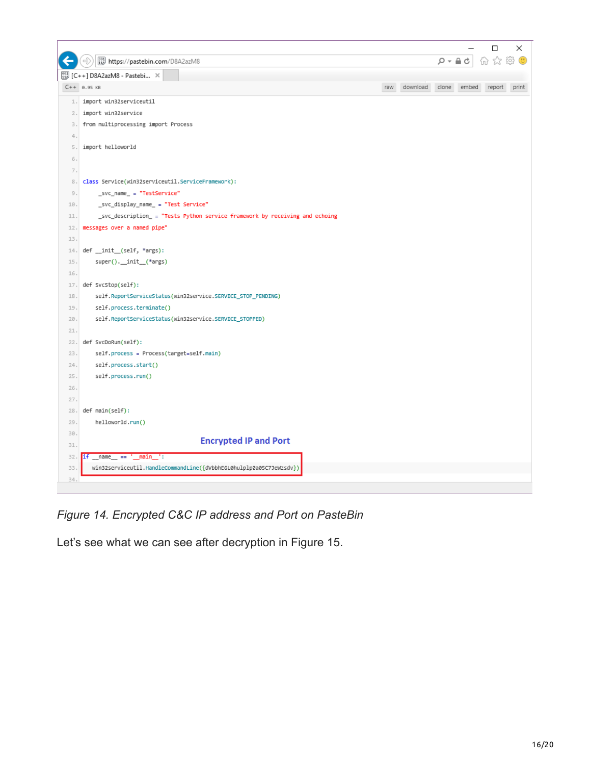

*Figure 14. Encrypted C&C IP address and Port on PasteBin*

Let's see what we can see after decryption in Figure 15.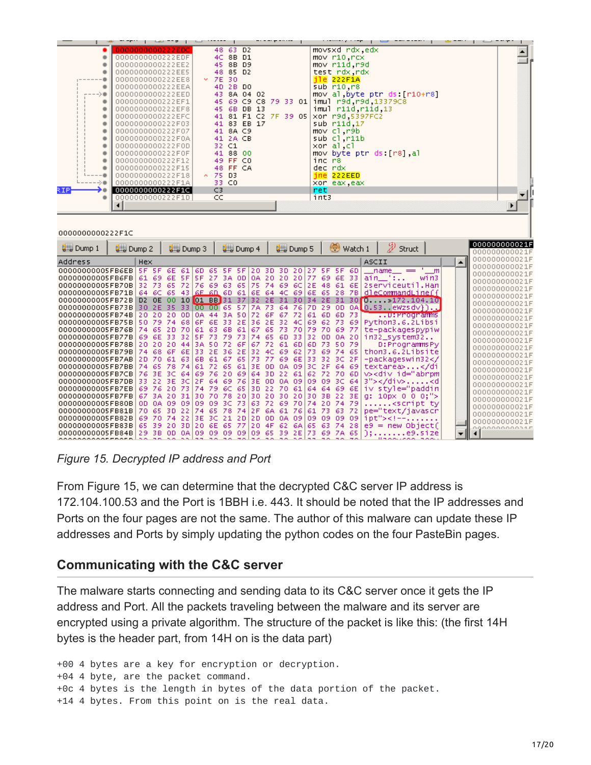|                       | 0000000000222EDC<br>0000000000222EDF<br>0000000000222EE2<br>0000000000222EE5<br>0000000000222EE8<br>0000000000222EEA<br>0000000000222EED<br>0000000000222EF1<br>0000000000222EF8<br>0000000000222EFC<br>0000000000222F03<br>0000000000222F07<br>0000000000222F0A<br>0000000000222F0D<br>0000000000222F0F<br>0000000000222F12<br>0000000000222F15<br>0000000000222F18<br>0000000000222F1A | 48 63 D <sub>2</sub><br>8B D1<br>4C<br>45<br>8B D9<br>48<br>85 D <sub>2</sub><br>$\times$ 7E<br>30<br>2B DO<br>4D<br>43<br>8A 04 02<br>45<br>69 C9 C8 79 33 01<br>45<br>6B DB 13<br>81 F1 C2 7F 39 05<br>41<br>41<br>83 EB 17<br>41 8A C9<br>41 2A CB<br>C1<br>32<br>41<br>88 00<br>49<br>FF CO<br>48 FF CA<br>$\sim$ 75<br>D3<br>33 CO |                 | movsxd rdx edx<br>mov r10.rcx<br>mov r11d.r9d<br>test rdx rdx<br>$i$ le 222F1A<br>sub r10.r8<br>mov al byte ptr ds [r10+r8]<br>imul r9d, r9d, 13379C8<br>imul r11d r11d 13<br>xor r9d 5397FC2<br>sub r11d <sub>17</sub><br>mov cl.r9b<br>sub cl.r11b<br>xor al,cl<br>mov byte ptr ds [r8] al<br>inc r8<br>dec ndx<br>$ine$ 222 $EED$<br>xor eax, eax |                                |
|-----------------------|------------------------------------------------------------------------------------------------------------------------------------------------------------------------------------------------------------------------------------------------------------------------------------------------------------------------------------------------------------------------------------------|-----------------------------------------------------------------------------------------------------------------------------------------------------------------------------------------------------------------------------------------------------------------------------------------------------------------------------------------|-----------------|------------------------------------------------------------------------------------------------------------------------------------------------------------------------------------------------------------------------------------------------------------------------------------------------------------------------------------------------------|--------------------------------|
| RIP.                  | 0000000000222F1C                                                                                                                                                                                                                                                                                                                                                                         | C3<br>CC.                                                                                                                                                                                                                                                                                                                               |                 | ret.                                                                                                                                                                                                                                                                                                                                                 |                                |
| ۰<br>0000000000222F1C | 0000000000222F1D                                                                                                                                                                                                                                                                                                                                                                         |                                                                                                                                                                                                                                                                                                                                         |                 | int3                                                                                                                                                                                                                                                                                                                                                 |                                |
| <b>ULL</b> Dump 1     | U <sub>se</sub> Dump 3<br><b>ULL</b> Dump 2                                                                                                                                                                                                                                                                                                                                              | <b>ULL</b> Dump 4                                                                                                                                                                                                                                                                                                                       | <b>U</b> Dump 5 | Watch 1<br>Struct                                                                                                                                                                                                                                                                                                                                    | 000000000021F<br>000000000021F |

| $\blacktriangle$<br>Address<br>ASCII<br><b>Hex</b><br><b>SF 5F</b><br>6E 61<br>6D 65 5F 5F 20 3D 3D 20 27 5F 5F 6D<br>$\mathsf{m}$<br>00000000005FB6EB<br>$_$ name $_$ $=$<br>$ain$ :<br>00000000005FB6FB<br>win3<br>-69<br>6E.<br>- 5 F I<br>SF 27 3A ODIOA 20 20 20 177<br>61.<br>-33 L<br>-69.<br>-6E.<br>00000000005FB70B<br>32 73<br>72 76 69 63<br>65 75 74 69 6C 2E 48 61<br>  6E  2serviceuti].Han <br>-65.<br>64 6C 65 43 6E 6D 61 6E 64 4C 69 6E 65 28 7B dleCommandLine f<br>00000000005FB71B<br>10 01 BB 31 37 32 2E 31 30 34 2E 31 30 0 > 172.104.10<br>00000000005FB72B<br>D <sub>2</sub> OE<br>-oo-<br>130 2E 35 331<br> 00 00 65 57 7A 73 64 76 7D 29 0D 0ALD.53. eWZSdv})<br>00000000005FB73B<br>20 20 20 0D<br>0A 44 3A 50 72 6F<br>00000000005FB74BI<br>67 72 1<br>-73<br><del>. .</del> U Proopramms<br>61 6D<br>-60.<br>6E 33 2E 36 2E 32 4C 69 62 73<br>00000000005FB75B 50 79<br>74 68<br>Python3.6.2Libsi<br>6F<br>-69  <br>00000000005FB76B 74 65 2D 70<br>61 63 6B 61 67 65 73 70 79 70 69 77<br>te-packagespypiw<br>SF 73 79 73 74 65 60 33 32 00 0A 20 in32_system32<br>00000000005FB77B<br>69 6E 33<br>-32  <br>000000000005FB78B120 20 20 441<br>3A 50 72 6F<br>D: Programms Py<br>167 72 61 6DI<br>50 791<br>6D 73.<br>thon3.6.2Libsite<br>00000000005FB79B 74 68<br>-6F<br>33.<br>2E 36 2E 32<br>-69<br>4C.<br>-62  <br>-73.<br>-69.<br>74 65<br>-6E<br>00000000005FB7AB 2D 70 61 63<br>61 67 65 73<br>77 69 6E 33<br>-32 3C 2F1<br>-packageswin32 <br 6B.<br>72 65 61 3E<br>000000000005FB7BB 74 65 78 74<br>0A 0913C 2F 64 691<br>textarea>61<br>-on-<br>v> <div id="abrpml&lt;br&gt;76 3E 3C 641&lt;br&gt;69 76 20 69 64 3D 22 61&lt;br&gt;00000000005FB7CB&lt;br&gt;62 72 70 6D&lt;br&gt;00000000005FB7DB 33_22_3E_3C 2F_64_69_76 3E_0D_0A_09 09_09_3C_64 3"></div> <d <br>20 73 74 79 6C 65 3D 22 70 61 64 64 69 6E iv style="paddin<br/>00000000005FB7EB <br/>6976<br/>67 3A 2O 31 3O 7O 78 20 3O 2O 3O 2O 3O 3B 22 3E 0: 10px 0 0 0:"&gt;<br/>00000000005FB7FB <br/>00000000005FB80B<br/>09 3C 73 63<br/>72 69 70 74 20 74 79<br/>0A<br/>09 09<br/>OD.<br/>09.<br/><script_ty<br>pe="text/javascr<br/>00000000005FB81B<br/>-65.<br/>74 65 78 74 2F<br/>70<br/>-3 D<br/>-22  <br/>6A 61 76 61 73<br/>63 72 1<br/>69 70 74 22 3E 3C 21 2D 2D 0D 0A 09 09 09 09 09 1 pt"&gt;&lt;!--&lt;br&gt;00000000005FB82B<br/>000000000021E<br/>20, 30<br/> 20 GE G5 77 20 4F G2 GA G5 G3 74 28 <br/>00000000005FB83B<br/>39<br/>65.<br/><math>e9 = new Object()</math></script_ty<br></d <br> | <b>W</b> Dump 1  | ⊌ Dump 2<br><b>Wed Dump 3</b> | <b>Wed Dump 4</b><br><b>U</b> Dump 5<br>watch 1 | Struct     | 000000000021F                                                                                                                                                                                                                                                                                                                                                             |
|------------------------------------------------------------------------------------------------------------------------------------------------------------------------------------------------------------------------------------------------------------------------------------------------------------------------------------------------------------------------------------------------------------------------------------------------------------------------------------------------------------------------------------------------------------------------------------------------------------------------------------------------------------------------------------------------------------------------------------------------------------------------------------------------------------------------------------------------------------------------------------------------------------------------------------------------------------------------------------------------------------------------------------------------------------------------------------------------------------------------------------------------------------------------------------------------------------------------------------------------------------------------------------------------------------------------------------------------------------------------------------------------------------------------------------------------------------------------------------------------------------------------------------------------------------------------------------------------------------------------------------------------------------------------------------------------------------------------------------------------------------------------------------------------------------------------------------------------------------------------------------------------------------------------------------------------------------------------------------------------------------------------------------------------------------------------------------------------------------------------------------------------------------------------------------------------------------------------------------------------------------------------------------------------------------------------------------------------------------------------------------------------------------------------------------------------------------------------------------------------------------------------|------------------|-------------------------------|-------------------------------------------------|------------|---------------------------------------------------------------------------------------------------------------------------------------------------------------------------------------------------------------------------------------------------------------------------------------------------------------------------------------------------------------------------|
|                                                                                                                                                                                                                                                                                                                                                                                                                                                                                                                                                                                                                                                                                                                                                                                                                                                                                                                                                                                                                                                                                                                                                                                                                                                                                                                                                                                                                                                                                                                                                                                                                                                                                                                                                                                                                                                                                                                                                                                                                                                                                                                                                                                                                                                                                                                                                                                                                                                                                                                        |                  |                               |                                                 |            | 000000000021F                                                                                                                                                                                                                                                                                                                                                             |
|                                                                                                                                                                                                                                                                                                                                                                                                                                                                                                                                                                                                                                                                                                                                                                                                                                                                                                                                                                                                                                                                                                                                                                                                                                                                                                                                                                                                                                                                                                                                                                                                                                                                                                                                                                                                                                                                                                                                                                                                                                                                                                                                                                                                                                                                                                                                                                                                                                                                                                                        |                  |                               |                                                 |            | 000000000021E<br>000000000021F<br>000000000021F<br>000000000021F<br>000000000021F<br>000000000021F<br>000000000021F<br>000000000021F<br>000000000021F<br>000000000021F<br>000000000021F<br>000000000021F<br>000000000021E<br>000000000021F<br>000000000021F<br>000000000021F<br>000000000021F<br>000000000021 <b>F</b><br>000000000021F<br>000000000021F<br>000000000021F |
| $-20$ $-20$ $-20$                                                                                                                                                                                                                                                                                                                                                                                                                                                                                                                                                                                                                                                                                                                                                                                                                                                                                                                                                                                                                                                                                                                                                                                                                                                                                                                                                                                                                                                                                                                                                                                                                                                                                                                                                                                                                                                                                                                                                                                                                                                                                                                                                                                                                                                                                                                                                                                                                                                                                                      | 00000000005FB84B | 29.3B<br>LOD OAL<br>09.       | 09 09 09 09<br>65 39 2E 73<br>69 7A 65          | $$ e9.51ze | 0000000000015                                                                                                                                                                                                                                                                                                                                                             |

*Figure 15. Decrypted IP address and Port*

From Figure 15, we can determine that the decrypted C&C server IP address is 172.104.100.53 and the Port is 1BBH i.e. 443. It should be noted that the IP addresses and Ports on the four pages are not the same. The author of this malware can update these IP addresses and Ports by simply updating the python codes on the four PasteBin pages.

# **Communicating with the C&C server**

The malware starts connecting and sending data to its C&C server once it gets the IP address and Port. All the packets traveling between the malware and its server are encrypted using a private algorithm. The structure of the packet is like this: (the first 14H bytes is the header part, from 14H on is the data part)

+00 4 bytes are a key for encryption or decryption. +04 4 byte, are the packet command. +0c 4 bytes is the length in bytes of the data portion of the packet. +14 4 bytes. From this point on is the real data.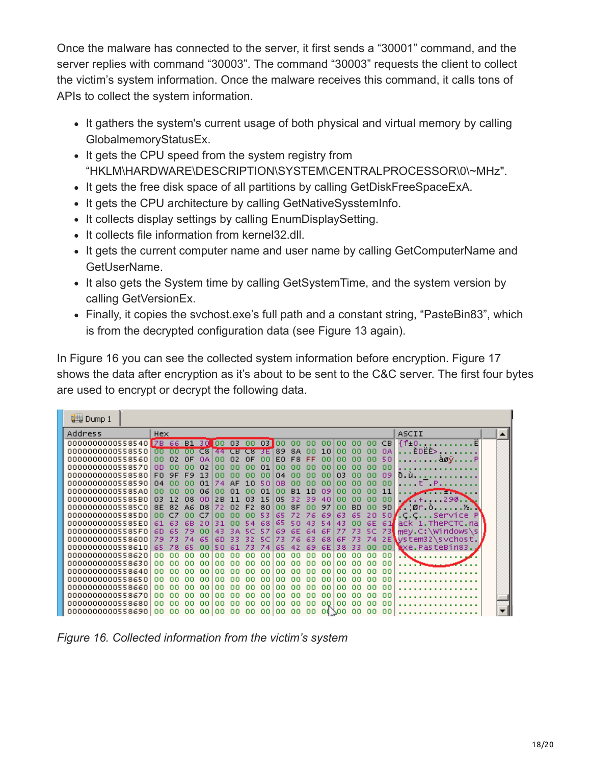Once the malware has connected to the server, it first sends a "30001" command, and the server replies with command "30003". The command "30003" requests the client to collect the victim's system information. Once the malware receives this command, it calls tons of APIs to collect the system information.

- It gathers the system's current usage of both physical and virtual memory by calling GlobalmemoryStatusEx.
- It gets the CPU speed from the system registry from "HKLM\HARDWARE\DESCRIPTION\SYSTEM\CENTRALPROCESSOR\0\~MHz".
- It gets the free disk space of all partitions by calling GetDiskFreeSpaceExA.
- It gets the CPU architecture by calling GetNativeSysstemInfo.
- It collects display settings by calling EnumDisplaySetting.
- It collects file information from kernel32.dll.
- It gets the current computer name and user name by calling GetComputerName and GetUserName.
- It also gets the System time by calling GetSystemTime, and the system version by calling GetVersionEx.
- Finally, it copies the svchost.exe's full path and a constant string, "PasteBin83", which is from the decrypted configuration data (see Figure 13 again).

In Figure 16 you can see the collected system information before encryption. Figure 17 shows the data after encryption as it's about to be sent to the C&C server. The first four bytes are used to encrypt or decrypt the following data.

| <b>U</b> Dump 1                      |                      |           |                  |           |           |     |           |                |           |          |          |           |           |          |           |                                                                         |  |
|--------------------------------------|----------------------|-----------|------------------|-----------|-----------|-----|-----------|----------------|-----------|----------|----------|-----------|-----------|----------|-----------|-------------------------------------------------------------------------|--|
| <b>Address</b>                       | Hex                  |           |                  |           |           |     |           |                |           |          |          |           |           |          |           | ASCII                                                                   |  |
| 0000000000558540 7B                  | -66                  | <b>B1</b> | -30              | loo.      | 03        | 00  | 03        | loo            | 00        | ۵O       | 00       | ۵O        | ۵o        | 00       | CB.       | ff.o.                                                                   |  |
| 0000000000558550                     | αo<br>m              | m         | $\overline{c}$ 8 | 44        | <b>CB</b> | cs  | 3E        | 89             | 8A        | nn       | 10       | ۵O        | ۵O        | 00       | 0A        | ÈDEE> F                                                                 |  |
| 0000000000558560                     | nn<br>02             | ΩF        | nд               | nn        | 02        | ΩF  | ۵O        | E <sub>0</sub> | F8        | FF       | ۵O       | ۵O        | 00        | ۵O       | 50        | aøyF                                                                    |  |
| 0000000000558570                     | nn<br>nn             | nn        | n2               | nn        | nn        | nn  | 01        | nn             | nn        | nn       | nn       | nn        | nn        | ۵O       | ۵O        |                                                                         |  |
| 0000000000558580                     | <b>FO</b><br>9F      | F9.       |                  | nn        | nn        | nn  | nn        | $\Omega$ 4     | nn        | nn       | nn       | n3        | nn        | nn       | 09        | ð.ù                                                                     |  |
| 0000000000558590                     | 04<br>nn             |           | ก1               | 74        | AF        | 1 ก | 50        | ΩB             | nn        | nn       | nn       | ۵O        | 00        | 00       | ۵O        | . Р                                                                     |  |
| 00000000005585A0                     | ۵O<br>nn             |           | 06               | nn        | 01        | nn  | 01        | ۵O             | <b>B1</b> | 1 D      | 09       | ۵O        | nn        | nn       | 11        |                                                                         |  |
| 00000000005585B0                     | 03<br>12             | 08        | nn               | 2B        | 11        | n٦  | 15        | 05             | 32        | 39       | 40       | ۵O        | ۵O        | 00       | ۵O        | . 294.<br>$\sim$ . $+$ .                                                |  |
| 00000000005585C0                     | 8E<br>82             | A6        | D8               |           |           |     | 80        | 00             | 8F        |          | 97       | 00.       | <b>BD</b> | ۵O       | 9D.       | ∕ !Ør ò.<br>. ½.                                                        |  |
| 00000000005585D0                     | ۵O                   |           |                  | nn        | nn        | nn  | 53        | 65             |           | 76       | 69       | 63.       | 65        | 20       |           | 50≸.C.CService                                                          |  |
| 00000000005585E0                     | 61<br>63             | 68        |                  | 31        | nn        |     | 68        | 65             | 50        | 43       |          | 43        |           | 6E       | -61       | ack 1 ThePCTC na                                                        |  |
| 00000000005585F0                     | 60<br>65             | 79        | nn               | 43        |           |     | 57        | 69             | 6Е        | 64       | 6F       |           |           | 5C       | -73       | $\mathsf{Imev}.\mathsf{C}\mathsf{:}\mathsf{W}\mathsf{indows}\mathsf{S}$ |  |
| 0000000000558600                     | 79                   |           | 65<br>nn         | 60<br>50. | 33        |     | 50        |                | 76        | 63       | 68       | 6F        | -73       | 74       | 2E1       | ystem32\svchost.                                                        |  |
| 0000000000558610<br>0000000000558620 | 65<br>78<br>00<br>۵O | 65<br>۵o  | ۵O               | ۵o        | 61<br>۵o  | ۵O  | 7 a<br>۵o | 65<br>۵O       | 42<br>۵o  | 69<br>۵o | 6E<br>00 | 38.<br>00 | 33<br>۵o  | 00<br>00 | 00.<br>00 | exe.PasteBin83.                                                         |  |
| 0000000000558630                     | ۵o<br>nn             | nn        | nn               | nn        | nn        | nn  | 00        | ۵o             | nn        | nn       | 00       | 00        | ۵O        | ۵O       | 00        |                                                                         |  |
| 0000000000558640                     | ۵o<br>nn             | nn        | nn               | nn        | nn        | nn  | nn        | nn             | nn        | nn       | nn       | ۵O        | 00        | nn       | 00        |                                                                         |  |
| 0000000000558650                     | oo.<br>nn            | nn        | nn               | nn        | nn        | nn  | nn        | ۵o             | nn        | nn       | nn       | ۵o        | 00        | nn.      | -00       |                                                                         |  |
| 0000000000558660                     | ۵o<br>nn             | nn        | nn               | nn        | nn        | nn  | ۵o        | nn             | nn        | nn       | 00       | ۵O        | nn        | ۵O       | 00        |                                                                         |  |
| 0000000000558670                     | ۵O<br>nn             | nn        | nn               | nn        | nn        | nn  | 00        | ۵o             | ۵o        | nn       | 00       | 00        | 00        | ۵O       | -00       |                                                                         |  |
| 0000000000558680                     | ۵O<br>nn             | nn        | nn               | nn        | nn        | nn  | ۵o        | ۵o             | -00       | ۵o       | nn       | 00        | -00       | ۵O       | -00       |                                                                         |  |
| 0000000000558690                     | 00<br>۵O             | ۵O        | 00               | 00        | 00        | ۵O  | 00        | 00.            | -00       | 00       | 00/00    |           | 00        | 00       | -00       |                                                                         |  |

*Figure 16. Collected information from the victim's system*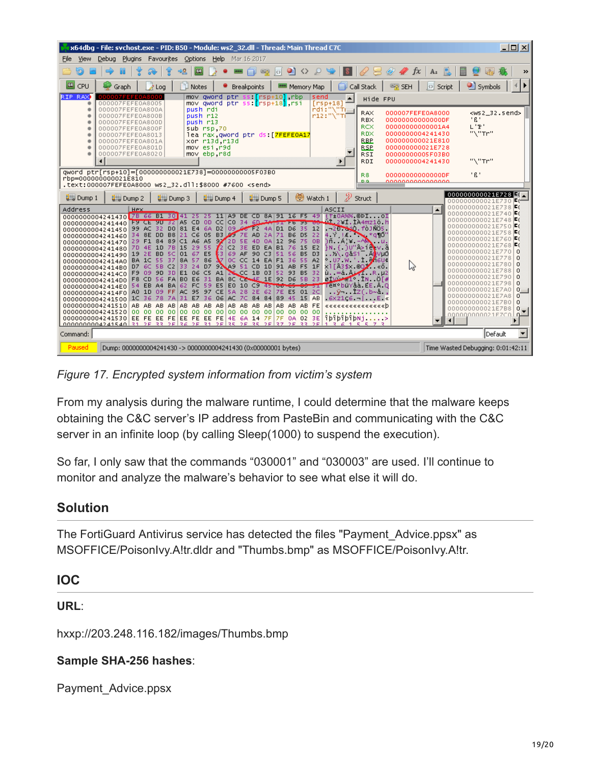| x64dbg - File: sychost.exe - PID: B50 - Module: ws2 32.dll - Thread: Main Thread C7C                                                                                                                                                                                                                                                                                                                                                                                                                                                                                                                                                                                                                                                                                                                                                                                                                                                                                                                                                                                                                                                                                                                                                                                                                                                                                                                                                                                                                                                                                                                                                                                                                                                                                                                                                                                                                                                                                                                                                                                                                                                                                                        | 그미지                                                                                                                                                                                                                                                                                                                                                                                                                                                                                                                                                  |
|---------------------------------------------------------------------------------------------------------------------------------------------------------------------------------------------------------------------------------------------------------------------------------------------------------------------------------------------------------------------------------------------------------------------------------------------------------------------------------------------------------------------------------------------------------------------------------------------------------------------------------------------------------------------------------------------------------------------------------------------------------------------------------------------------------------------------------------------------------------------------------------------------------------------------------------------------------------------------------------------------------------------------------------------------------------------------------------------------------------------------------------------------------------------------------------------------------------------------------------------------------------------------------------------------------------------------------------------------------------------------------------------------------------------------------------------------------------------------------------------------------------------------------------------------------------------------------------------------------------------------------------------------------------------------------------------------------------------------------------------------------------------------------------------------------------------------------------------------------------------------------------------------------------------------------------------------------------------------------------------------------------------------------------------------------------------------------------------------------------------------------------------------------------------------------------------|------------------------------------------------------------------------------------------------------------------------------------------------------------------------------------------------------------------------------------------------------------------------------------------------------------------------------------------------------------------------------------------------------------------------------------------------------------------------------------------------------------------------------------------------------|
| File<br>View<br>Debug<br>Plugins<br>Favourites<br>Options<br>Help<br>Mar 16 2017                                                                                                                                                                                                                                                                                                                                                                                                                                                                                                                                                                                                                                                                                                                                                                                                                                                                                                                                                                                                                                                                                                                                                                                                                                                                                                                                                                                                                                                                                                                                                                                                                                                                                                                                                                                                                                                                                                                                                                                                                                                                                                            |                                                                                                                                                                                                                                                                                                                                                                                                                                                                                                                                                      |
| $\bullet$<br>皿<br>$\mathscr{Q}$<br>$\mathscr{D}$ fx<br>⇒ <mark>&amp;</mark><br>$\langle \rangle$<br>$\mathcal{L}$<br>-51<br> O <br>$\sum_{i=1}^{n}$                                                                                                                                                                                                                                                                                                                                                                                                                                                                                                                                                                                                                                                                                                                                                                                                                                                                                                                                                                                                                                                                                                                                                                                                                                                                                                                                                                                                                                                                                                                                                                                                                                                                                                                                                                                                                                                                                                                                                                                                                                         | A <sub>z</sub><br>$\rightarrow$                                                                                                                                                                                                                                                                                                                                                                                                                                                                                                                      |
| 【【】 CPU<br>P Notes<br>Call Stack<br><b>SEH</b><br>Graph<br>$\lambda$ Log<br>Breakpoints<br><b>RRB</b> Memory Map                                                                                                                                                                                                                                                                                                                                                                                                                                                                                                                                                                                                                                                                                                                                                                                                                                                                                                                                                                                                                                                                                                                                                                                                                                                                                                                                                                                                                                                                                                                                                                                                                                                                                                                                                                                                                                                                                                                                                                                                                                                                            | HDE<br>图 Symbols<br>o Script                                                                                                                                                                                                                                                                                                                                                                                                                                                                                                                         |
| RIP RAX<br>Frsp+101 rbp<br>000007FEFE0A80<br>mov aword ptr<br>send<br>$\blacktriangle$<br>Hide FPU<br>mov gword ptr ss <mark>f</mark> rsp+18 rsi<br>$[rsp+18]$<br>000007FEFE0A8005                                                                                                                                                                                                                                                                                                                                                                                                                                                                                                                                                                                                                                                                                                                                                                                                                                                                                                                                                                                                                                                                                                                                                                                                                                                                                                                                                                                                                                                                                                                                                                                                                                                                                                                                                                                                                                                                                                                                                                                                          |                                                                                                                                                                                                                                                                                                                                                                                                                                                                                                                                                      |
| ndi: "\"Ti<br>push rdi<br>000007FEFE0A800A<br><b>RAX</b><br>000007FEFE0A8000<br>r12:"\"Ti<br>000007FEFE0A800B<br>push r12<br><b>RBX</b><br>00000000000000DF<br>push r13<br>000007FEFE0A800D<br><b>RCX</b><br>00000000000001A4<br>sub rsp.70<br>000007FEFE0A800F<br>RDX<br>0000000004241430<br>lea rax, qword ptr ds [ <mark>7FEFE0A17</mark><br>000007FEFE0A8013<br><b>RBP</b><br>000000000021E810<br>xor r13d r13d<br>000007FEFE0A801A<br>mov esi r9d<br><b>RSP</b><br>000000000021E728<br>000007FEFE0A801D<br>mov ebp.r8d<br>000007FEFE0A8020<br>RSI<br>00000000005F03B0<br>RDI<br>0000000004241430<br>▶                                                                                                                                                                                                                                                                                                                                                                                                                                                                                                                                                                                                                                                                                                                                                                                                                                                                                                                                                                                                                                                                                                                                                                                                                                                                                                                                                                                                                                                                                                                                                                                  | <ws2_32.send><br/>"ß"<br/><math>L</math> <math>P</math><br/>"N"Tr"<br/>"\"Tr"</ws2_32.send>                                                                                                                                                                                                                                                                                                                                                                                                                                                          |
| qword ptr[rsp+10]=[000000000021E738]=00000000005F03B0<br>R8<br>00000000000000DF<br>rbp=000000000021E810<br>D.Q.<br>0000000000000000<br>.text:000007FEFE0A8000 ws2_32.dll:\$8000 #7600 <send></send>                                                                                                                                                                                                                                                                                                                                                                                                                                                                                                                                                                                                                                                                                                                                                                                                                                                                                                                                                                                                                                                                                                                                                                                                                                                                                                                                                                                                                                                                                                                                                                                                                                                                                                                                                                                                                                                                                                                                                                                         | 1 R 1                                                                                                                                                                                                                                                                                                                                                                                                                                                                                                                                                |
| Đ<br>Watch 1<br><b>U</b> Dump 5<br>$\frac{1}{2}$ Dump 1<br>$\frac{1}{2}$ Dump 3<br>$\frac{1}{2}$ Dump 4<br>Struct<br><b>U</b> Dump 2                                                                                                                                                                                                                                                                                                                                                                                                                                                                                                                                                                                                                                                                                                                                                                                                                                                                                                                                                                                                                                                                                                                                                                                                                                                                                                                                                                                                                                                                                                                                                                                                                                                                                                                                                                                                                                                                                                                                                                                                                                                        | 000000000021E728<br>000000000021E730<br>E (=                                                                                                                                                                                                                                                                                                                                                                                                                                                                                                         |
| Address<br>ASCII<br>Hex.<br>0000000004241430 7B 66 B1 30<br>$1+0A$ % OpIOI<br>DE CD 8A191 16 F5 49<br>A9.<br>25<br><u>űl 2¥1.1A4mz1ö.h</u><br>F9 CE 90 32 A5<br>CD.<br>-OD.<br>$CC CO$ 34<br>ستسلطاته<br>0000000004241440<br>51F6<br>$-2$ <sup>-2</sup> $-4$ ). fò $105$ .<br>D0 81E46A<br>D2 09 6 F2 4A<br>99 AC 32<br>D1 D6<br>-35<br>12<br>0000000004241450<br>$4 \times 11$ * q $10'$<br>B6<br>B8 21 C6 05<br>AD.<br>2A<br>71<br>D <sub>5</sub><br>-22<br>SE DD<br><b>B3 2 7E</b><br>34.<br>0000000004241460<br>205E<br>4D 0A 12 96<br>$\ln A \times -\sqrt{M}$ u.<br>29 F1 84 89 C1 A6 A5<br>-75<br>$-0B$<br>0000000004241470<br>îΝ f )U"Â>íð vä<br>29 55<br>ED EA B1<br>78 15<br>$\mathbf{r}_2$<br>C2<br>3E.<br>-76<br>15<br>E <sub>2</sub><br>4E<br>1D<br>7D.<br>0000000004241480<br>63.<br>01 67 E5<br>69<br>AF 90 C3 51 56 B5 D3<br>.X∖ qâsi Aovuó<br>19 2E BD 5C<br>0000000004241490<br>$^{\circ}$ UZ W $^{\circ}$ .1. Mout<br>86<br>37 I<br>OC CC<br>14 EA F1 36<br>-55<br>-37<br>8A<br>-57 -<br>-55<br>- A2<br>BA 1C<br>00000000042414A0<br>ĥЛ<br>x1[A3\$x.0Q <mark>/</mark> «õ.<br>24 D7 92 A9 51 CD 1D 91 AB<br>C2<br>33<br>D7 6C 5B<br>F5 1F<br>00000000042414B0<br>$\mathbf{u} = \mathbf{a}$ , $\mathbf{w} = \mathbf{a}$ , $\mathbf{w} = \mathbf{b}$ , $\mathbf{v} = \mathbf{b}$<br>E1 06 C5<br>A1<br>2CC 1B 03 52<br>-93<br>F9 09 9D<br>3D I<br>B5 32<br>00000000042414C0<br>$01$ $10$ $1$ $1$ $1$ $0$ $1$ $\#$<br>BA 8C CE-4E 1E 92 D6 5B 23<br>F8 CD 56 FA B0 E6 31<br>00000000042414D0<br><del>00 si</del> Têx°büYâà EE Â Q<br>$BA 62$ FC<br>59 ES EO 10 C9 45 100 C5<br>54 EB A4<br>00000000042414E0<br>ÿ–1z(.b∼å.,<br>FF   AC 95 97 CE<br>5A 28 2E<br>7E E5 01 2C<br>AO 1D 09<br>-62<br>00000000042414F0<br>31<br>AC 7C 84 84 89 45 15 AB<br>$6x21.6$ $E$ $\in$<br>1C 36 78<br>-7A<br>E7<br>36<br>-06<br>0000000004241500<br>AB AB AB<br>AB.<br>AB AB AB<br>AB.<br>AB AB AB AB AB AB FE<br>0000000004241510<br>AB.<br>000000000<br>00 00 00 00<br>00 00 00 00 00 00<br>0000000004241520<br>0000<br>îbîbîbîbNj.<br>EE FE EE FE EE FE EE FE 4E 6A 14 7F 7F 0A 02 3E<br>0000000004241530<br>$00000000004241540131.2E 33 2E 34 2E 31 2E 35 2E 35 2E 37 2E 33 2E$<br>61557 | 000000000021E738F6<br>$\blacktriangle$<br>000000000021E740F0<br>000000000021E748F6<br>000000000021E750F6<br>000000000021E758F6<br>000000000021E760F6<br>000000000021E768F6<br>000000000021E770 0<br>000000000021E778<br>l o<br>000000000021E780<br>$\Omega$<br>000000000021E788<br>$\Omega$<br>000000000021E790<br>$\Omega$<br>000000000021E798<br>$\Omega$<br>000000000021E7A0<br>$0 - 1$<br>000000000021E7A8<br>$\circ$<br>000000000021E7B0<br>$\circ$<br>000000000021E7B8<br>$0 - 1$<br>000000000021EZC0<br><u>പ</u><br>$\blacktriangleleft$<br>٠ |
| Command:                                                                                                                                                                                                                                                                                                                                                                                                                                                                                                                                                                                                                                                                                                                                                                                                                                                                                                                                                                                                                                                                                                                                                                                                                                                                                                                                                                                                                                                                                                                                                                                                                                                                                                                                                                                                                                                                                                                                                                                                                                                                                                                                                                                    | $\overline{\phantom{a}}$<br>Default                                                                                                                                                                                                                                                                                                                                                                                                                                                                                                                  |
| Paused<br>Dump: 0000000004241430 -> 0000000004241430 (0x00000001 bytes)                                                                                                                                                                                                                                                                                                                                                                                                                                                                                                                                                                                                                                                                                                                                                                                                                                                                                                                                                                                                                                                                                                                                                                                                                                                                                                                                                                                                                                                                                                                                                                                                                                                                                                                                                                                                                                                                                                                                                                                                                                                                                                                     | Time Wasted Debugging: 0:01:42:11                                                                                                                                                                                                                                                                                                                                                                                                                                                                                                                    |

*Figure 17. Encrypted system information from victim's system*

From my analysis during the malware runtime, I could determine that the malware keeps obtaining the C&C server's IP address from PasteBin and communicating with the C&C server in an infinite loop (by calling Sleep(1000) to suspend the execution).

So far, I only saw that the commands "030001" and "030003" are used. I'll continue to monitor and analyze the malware's behavior to see what else it will do.

#### **Solution**

The FortiGuard Antivirus service has detected the files "Payment\_Advice.ppsx" as MSOFFICE/PoisonIvy.A!tr.dldr and "Thumbs.bmp" as MSOFFICE/PoisonIvy.A!tr.

#### **IOC**

#### **URL**:

hxxp://203.248.116.182/images/Thumbs.bmp

#### **Sample SHA-256 hashes**:

Payment\_Advice.ppsx